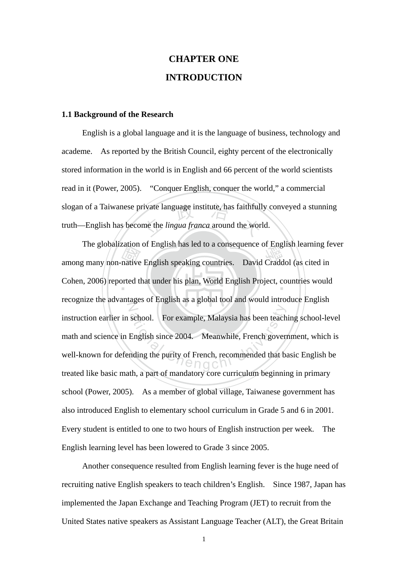# **CHAPTER ONE INTRODUCTION**

#### **1.1 Background of the Research**

slogan of a Taiwanese private language institute, has faithfully conveyed a stunning<br>truth—English has become the *lingua franca* around the world. English is a global language and it is the language of business, technology and academe. As reported by the British Council, eighty percent of the electronically stored information in the world is in English and 66 percent of the world scientists read in it (Power, 2005). "Conquer English, conquer the world," a commercial truth—English has become the *lingua franca* around the world.

Ine grooanzation of English has led to a consequence of English learning real among many non-native English speaking countries. David Craddol (as cited in Cohen, 2006) reported that under his plan, World English Project, c Cohen, 2006) reported that under his plan, World English Project, countries would  $\mathbb{Z}$ school. For example, Malaysia has been teach<br>English since 2004. Meanwhile, French govern<br>Inding the purity of French, recommended that been The globalization of English has led to a consequence of English learning fever recognize the advantages of English as a global tool and would introduce English instruction earlier in school. For example, Malaysia has been teaching school-level math and science in English since 2004. Meanwhile, French government, which is well-known for defending the purity of French, recommended that basic English be treated like basic math, a part of mandatory core curriculum beginning in primary school (Power, 2005). As a member of global village, Taiwanese government has also introduced English to elementary school curriculum in Grade 5 and 6 in 2001. Every student is entitled to one to two hours of English instruction per week. The English learning level has been lowered to Grade 3 since 2005.

Another consequence resulted from English learning fever is the huge need of recruiting native English speakers to teach children's English. Since 1987, Japan has implemented the Japan Exchange and Teaching Program (JET) to recruit from the United States native speakers as Assistant Language Teacher (ALT), the Great Britain

1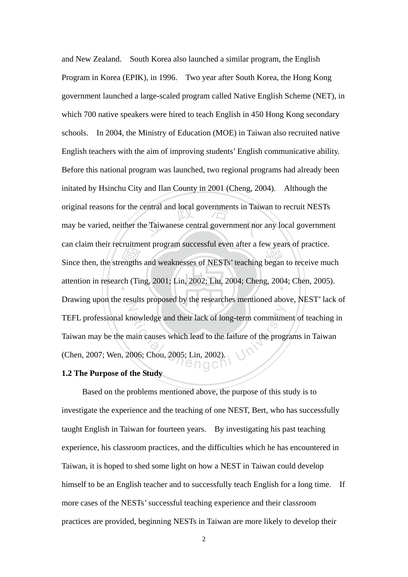Since then, the strengths and weaknesses of NESTs' teaching began to receive much<br>attention in research (Ting, 2001; Lin, 2002; Liu, 2004; Cheng, 2004; Chen, 2005). original reasons for the central and local governments in Taiwan to recruit NESTs<br>may be varied, neither the Taiwanese central government nor any local government ‧ attention in research (Ting, 2001; Lin, 2002; Liu, 2004; Cheng, 2004; Chen, 2005). N mowledge and their lack of long-term commitme<br>
main causes which lead to the failure of the program<br>
006; Chou, 2005; Lin, 2002). and New Zealand. South Korea also launched a similar program, the English Program in Korea (EPIK), in 1996. Two year after South Korea, the Hong Kong government launched a large-scaled program called Native English Scheme (NET), in which 700 native speakers were hired to teach English in 450 Hong Kong secondary schools. In 2004, the Ministry of Education (MOE) in Taiwan also recruited native English teachers with the aim of improving students' English communicative ability. Before this national program was launched, two regional programs had already been initated by Hsinchu City and Ilan County in 2001 (Cheng, 2004). Although the may be varied, neither the Taiwanese central government nor any local government can claim their recruitment program successful even after a few years of practice. Drawing upon the results proposed by the researches mentioned above, NEST' lack of TEFL professional knowledge and their lack of long-term commitment of teaching in Taiwan may be the main causes which lead to the failure of the programs in Taiwan (Chen, 2007; Wen, 2006; Chou, 2005; Lin, 2002).

## **1.2 The Purpose of the Study**

Based on the problems mentioned above, the purpose of this study is to investigate the experience and the teaching of one NEST, Bert, who has successfully taught English in Taiwan for fourteen years. By investigating his past teaching experience, his classroom practices, and the difficulties which he has encountered in Taiwan, it is hoped to shed some light on how a NEST in Taiwan could develop himself to be an English teacher and to successfully teach English for a long time. If more cases of the NESTs' successful teaching experience and their classroom practices are provided, beginning NESTs in Taiwan are more likely to develop their